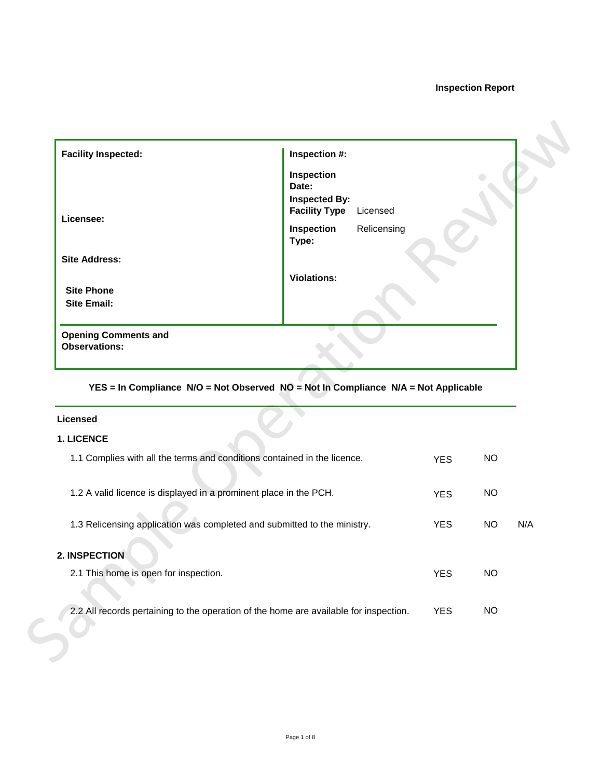# **Inspection Report**

| <b>Facility Inspected:</b>                                                             | Inspection #:                                                                      |            |           |     |
|----------------------------------------------------------------------------------------|------------------------------------------------------------------------------------|------------|-----------|-----|
|                                                                                        | Inspection<br>Date:<br><b>Inspected By:</b><br><b>Facility Type</b><br>Licensed    |            |           |     |
| Licensee:                                                                              | Relicensing<br>Inspection<br>Type:                                                 |            |           |     |
| <b>Site Address:</b>                                                                   |                                                                                    |            |           |     |
| <b>Site Phone</b><br><b>Site Email:</b>                                                | <b>Violations:</b>                                                                 |            |           |     |
| <b>Opening Comments and</b><br><b>Observations:</b>                                    |                                                                                    |            |           |     |
|                                                                                        | YES = In Compliance N/O = Not Observed NO = Not In Compliance N/A = Not Applicable |            |           |     |
| Licensed                                                                               |                                                                                    |            |           |     |
| 1. LICENCE<br>1.1 Complies with all the terms and conditions contained in the licence. |                                                                                    | <b>YES</b> | <b>NO</b> |     |
| 1.2 A valid licence is displayed in a prominent place in the PCH.                      |                                                                                    | <b>YES</b> | <b>NO</b> |     |
| 1.3 Relicensing application was completed and submitted to the ministry.               |                                                                                    | <b>YES</b> | NO.       | N/A |
| 2. INSPECTION                                                                          |                                                                                    |            |           |     |
| 2.1 This home is open for inspection.                                                  |                                                                                    | <b>YES</b> | <b>NO</b> |     |

# **YES = In Compliance N/O = Not Observed NO = Not In Compliance N/A = Not Applicable**

#### **Licensed**

# **1. LICENCE**

| 1.1 Complies with all the terms and conditions contained in the licence.              | <b>YES</b> | NO  |     |
|---------------------------------------------------------------------------------------|------------|-----|-----|
| 1.2 A valid licence is displayed in a prominent place in the PCH.                     | <b>YFS</b> | NO  |     |
| 1.3 Relicensing application was completed and submitted to the ministry.              | <b>YES</b> | NO. | N/A |
| <b>2. INSPECTION</b>                                                                  |            |     |     |
| 2.1 This home is open for inspection.                                                 | <b>YES</b> | NO  |     |
| 2.2 All records pertaining to the operation of the home are available for inspection. | <b>YES</b> | NO  |     |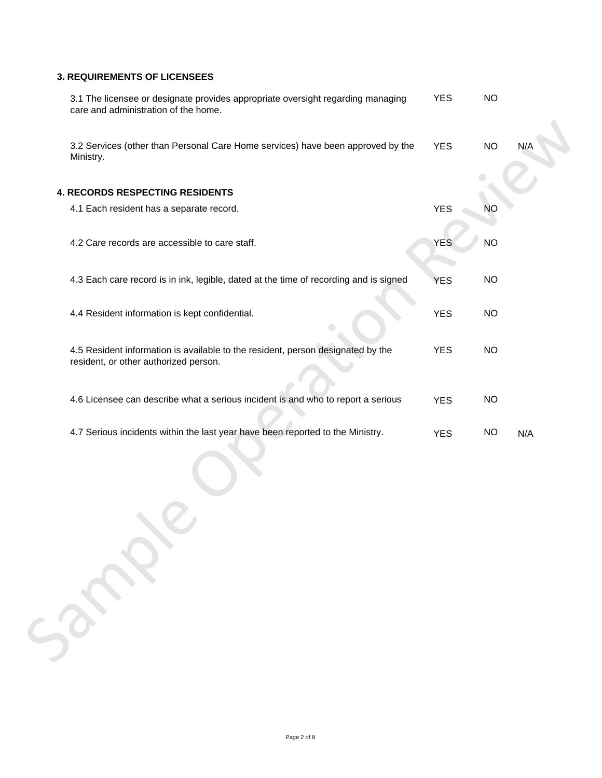# **3. REQUIREMENTS OF LICENSEES**

| 3.1 The licensee or designate provides appropriate oversight regarding managing<br>care and administration of the home.  | <b>YES</b> | <b>NO</b> |     |
|--------------------------------------------------------------------------------------------------------------------------|------------|-----------|-----|
| 3.2 Services (other than Personal Care Home services) have been approved by the<br>Ministry.                             | <b>YES</b> | <b>NO</b> | N/A |
| <b>4. RECORDS RESPECTING RESIDENTS</b>                                                                                   |            |           |     |
| 4.1 Each resident has a separate record.                                                                                 | <b>YES</b> | NΟ        |     |
| 4.2 Care records are accessible to care staff.                                                                           | <b>YES</b> | <b>NO</b> |     |
| 4.3 Each care record is in ink, legible, dated at the time of recording and is signed                                    | <b>YES</b> | <b>NO</b> |     |
| 4.4 Resident information is kept confidential.                                                                           | <b>YES</b> | <b>NO</b> |     |
| 4.5 Resident information is available to the resident, person designated by the<br>resident, or other authorized person. | <b>YES</b> | <b>NO</b> |     |
| 4.6 Licensee can describe what a serious incident is and who to report a serious                                         | <b>YES</b> | <b>NO</b> |     |
| 4.7 Serious incidents within the last year have been reported to the Ministry.                                           | <b>YES</b> | <b>NO</b> | N/A |
|                                                                                                                          |            |           |     |
| Sona                                                                                                                     |            |           |     |
|                                                                                                                          |            |           |     |
|                                                                                                                          |            |           |     |
|                                                                                                                          |            |           |     |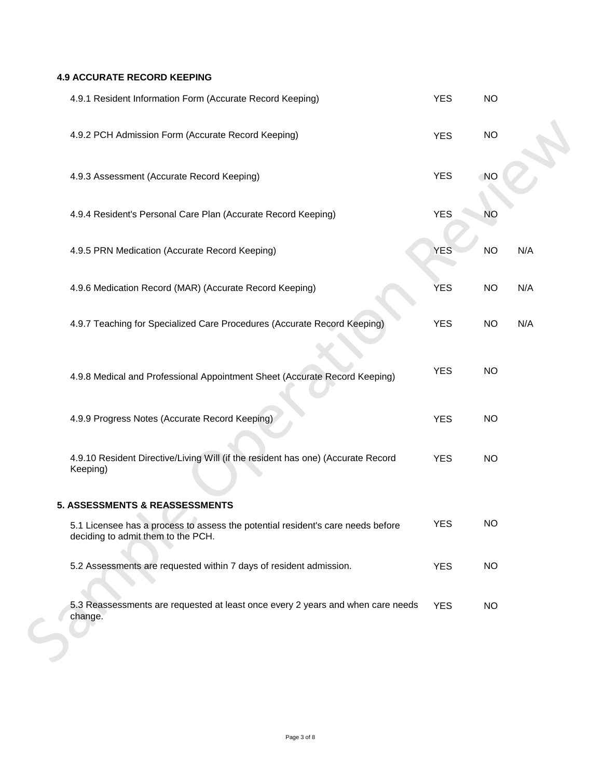# **4.9 ACCURATE RECORD KEEPING**

| 4.9.1 Resident Information Form (Accurate Record Keeping)                                                             | <b>YES</b> | <b>NO</b>   |     |
|-----------------------------------------------------------------------------------------------------------------------|------------|-------------|-----|
| 4.9.2 PCH Admission Form (Accurate Record Keeping)                                                                    | <b>YES</b> | <b>NO</b>   |     |
| 4.9.3 Assessment (Accurate Record Keeping)                                                                            | <b>YES</b> | $\bigwedge$ |     |
| 4.9.4 Resident's Personal Care Plan (Accurate Record Keeping)                                                         | <b>YES</b> | NO          |     |
| 4.9.5 PRN Medication (Accurate Record Keeping)                                                                        | <b>YES</b> | <b>NO</b>   | N/A |
| 4.9.6 Medication Record (MAR) (Accurate Record Keeping)                                                               | <b>YES</b> | <b>NO</b>   | N/A |
| 4.9.7 Teaching for Specialized Care Procedures (Accurate Record Keeping)                                              | <b>YES</b> | <b>NO</b>   | N/A |
| 4.9.8 Medical and Professional Appointment Sheet (Accurate Record Keeping)                                            | <b>YES</b> | <b>NO</b>   |     |
| 4.9.9 Progress Notes (Accurate Record Keeping)                                                                        | <b>YES</b> | <b>NO</b>   |     |
| 4.9.10 Resident Directive/Living Will (if the resident has one) (Accurate Record<br>Keeping)                          | <b>YES</b> | <b>NO</b>   |     |
| 5. ASSESSMENTS & REASSESSMENTS                                                                                        |            |             |     |
| 5.1 Licensee has a process to assess the potential resident's care needs before<br>deciding to admit them to the PCH. | <b>YES</b> | <b>NO</b>   |     |
| 5.2 Assessments are requested within 7 days of resident admission.                                                    | <b>YES</b> | <b>NO</b>   |     |
| 5.3 Reassessments are requested at least once every 2 years and when care needs<br>change.                            | <b>YES</b> | <b>NO</b>   |     |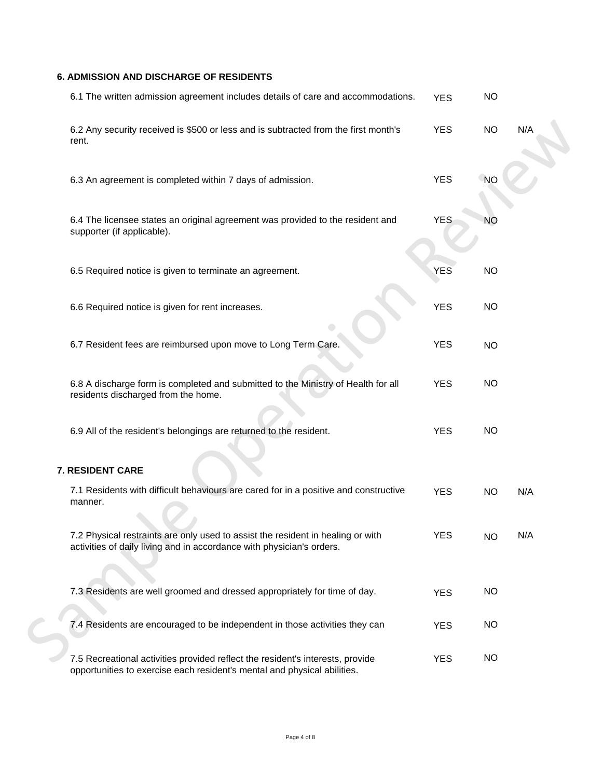#### **6. ADMISSION AND DISCHARGE OF RESIDENTS**

| 6.1 The written admission agreement includes details of care and accommodations.                                                                           | <b>YES</b> | <b>NO</b> |     |
|------------------------------------------------------------------------------------------------------------------------------------------------------------|------------|-----------|-----|
| 6.2 Any security received is \$500 or less and is subtracted from the first month's<br>rent.                                                               | <b>YES</b> | <b>NO</b> | N/A |
| 6.3 An agreement is completed within 7 days of admission.                                                                                                  | <b>YES</b> | <b>NO</b> |     |
| 6.4 The licensee states an original agreement was provided to the resident and<br>supporter (if applicable).                                               | <b>YES</b> | NO        |     |
| 6.5 Required notice is given to terminate an agreement.                                                                                                    | <b>YES</b> | <b>NO</b> |     |
| 6.6 Required notice is given for rent increases.                                                                                                           | <b>YES</b> | <b>NO</b> |     |
| 6.7 Resident fees are reimbursed upon move to Long Term Care.                                                                                              | <b>YES</b> | <b>NO</b> |     |
| 6.8 A discharge form is completed and submitted to the Ministry of Health for all<br>residents discharged from the home.                                   | <b>YES</b> | NO        |     |
| 6.9 All of the resident's belongings are returned to the resident.                                                                                         | <b>YES</b> | <b>NO</b> |     |
| 7. RESIDENT CARE                                                                                                                                           |            |           |     |
| 7.1 Residents with difficult behaviours are cared for in a positive and constructive<br>manner.                                                            | <b>YES</b> | <b>NO</b> | N/A |
| 7.2 Physical restraints are only used to assist the resident in healing or with<br>activities of daily living and in accordance with physician's orders.   | <b>YES</b> | <b>NO</b> | N/A |
|                                                                                                                                                            |            |           |     |
| 7.3 Residents are well groomed and dressed appropriately for time of day.                                                                                  | <b>YES</b> | NO        |     |
| 7.4 Residents are encouraged to be independent in those activities they can                                                                                | <b>YES</b> | <b>NO</b> |     |
| 7.5 Recreational activities provided reflect the resident's interests, provide<br>opportunities to exercise each resident's mental and physical abilities. | <b>YES</b> | <b>NO</b> |     |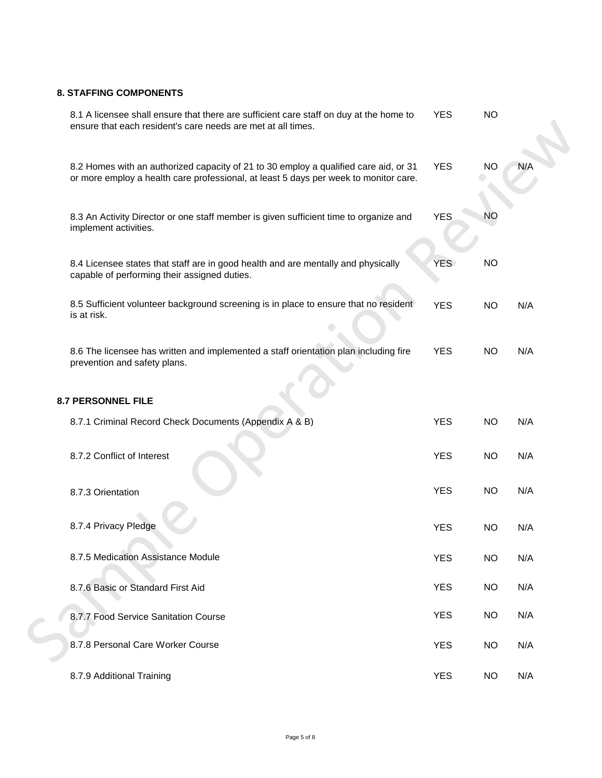# **8. STAFFING COMPONENTS**

| 8.1 A licensee shall ensure that there are sufficient care staff on duy at the home to<br>ensure that each resident's care needs are met at all times.                       | <b>YES</b> | <b>NO</b> |     |
|------------------------------------------------------------------------------------------------------------------------------------------------------------------------------|------------|-----------|-----|
| 8.2 Homes with an authorized capacity of 21 to 30 employ a qualified care aid, or 31<br>or more employ a health care professional, at least 5 days per week to monitor care. | <b>YES</b> | <b>NO</b> | N/A |
| 8.3 An Activity Director or one staff member is given sufficient time to organize and<br>implement activities.                                                               | <b>YES</b> | <b>NO</b> |     |
| 8.4 Licensee states that staff are in good health and are mentally and physically<br>capable of performing their assigned duties.                                            | <b>YES</b> | <b>NO</b> |     |
| 8.5 Sufficient volunteer background screening is in place to ensure that no resident<br>is at risk.                                                                          | <b>YES</b> | <b>NO</b> | N/A |
| 8.6 The licensee has written and implemented a staff orientation plan including fire<br>prevention and safety plans.                                                         | <b>YES</b> | <b>NO</b> | N/A |
| <b>8.7 PERSONNEL FILE</b>                                                                                                                                                    |            |           |     |
| 8.7.1 Criminal Record Check Documents (Appendix A & B)                                                                                                                       | <b>YES</b> | <b>NO</b> | N/A |
| 8.7.2 Conflict of Interest                                                                                                                                                   | <b>YES</b> | <b>NO</b> | N/A |
| 8.7.3 Orientation                                                                                                                                                            | <b>YES</b> | <b>NO</b> | N/A |
| 8.7.4 Privacy Pledge                                                                                                                                                         | <b>YES</b> | NO        | N/A |
| 8.7.5 Medication Assistance Module                                                                                                                                           | <b>YES</b> | <b>NO</b> | N/A |
| 8.7.6 Basic or Standard First Aid                                                                                                                                            | <b>YES</b> | <b>NO</b> | N/A |
| 8.7.7 Food Service Sanitation Course                                                                                                                                         | <b>YES</b> | <b>NO</b> | N/A |
| 8.7.8 Personal Care Worker Course                                                                                                                                            | <b>YES</b> | <b>NO</b> | N/A |
| 8.7.9 Additional Training                                                                                                                                                    | <b>YES</b> | <b>NO</b> | N/A |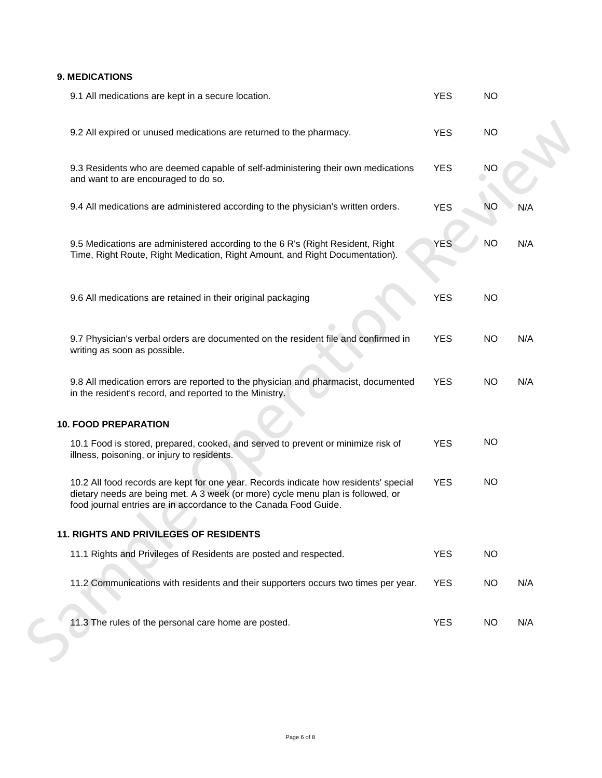# **9. MEDICATIONS**

| 9.1 All medications are kept in a secure location.                                                                                                                                                                                          | <b>YES</b> | <b>NO</b> |     |
|---------------------------------------------------------------------------------------------------------------------------------------------------------------------------------------------------------------------------------------------|------------|-----------|-----|
| 9.2 All expired or unused medications are returned to the pharmacy.                                                                                                                                                                         | <b>YES</b> | <b>NO</b> |     |
| 9.3 Residents who are deemed capable of self-administering their own medications<br>and want to are encouraged to do so.                                                                                                                    | <b>YES</b> | <b>NO</b> |     |
| 9.4 All medications are administered according to the physician's written orders.                                                                                                                                                           | <b>YES</b> | <b>NO</b> | N/A |
| 9.5 Medications are administered according to the 6 R's (Right Resident, Right<br>Time, Right Route, Right Medication, Right Amount, and Right Documentation).                                                                              | <b>YES</b> | <b>NO</b> | N/A |
| 9.6 All medications are retained in their original packaging                                                                                                                                                                                | <b>YES</b> | <b>NO</b> |     |
| 9.7 Physician's verbal orders are documented on the resident file and confirmed in<br>writing as soon as possible.                                                                                                                          | <b>YES</b> | NO        | N/A |
| 9.8 All medication errors are reported to the physician and pharmacist, documented<br>in the resident's record, and reported to the Ministry.                                                                                               | <b>YES</b> | NO        | N/A |
| <b>10. FOOD PREPARATION</b>                                                                                                                                                                                                                 |            |           |     |
| 10.1 Food is stored, prepared, cooked, and served to prevent or minimize risk of<br>illness, poisoning, or injury to residents.                                                                                                             | <b>YES</b> | NO        |     |
| 10.2 All food records are kept for one year. Records indicate how residents' special<br>dietary needs are being met. A 3 week (or more) cycle menu plan is followed, or<br>food journal entries are in accordance to the Canada Food Guide. | <b>YES</b> | NO        |     |
| 11. RIGHTS AND PRIVILEGES OF RESIDENTS                                                                                                                                                                                                      |            |           |     |
| 11.1 Rights and Privileges of Residents are posted and respected.                                                                                                                                                                           | <b>YES</b> | <b>NO</b> |     |
| 11.2 Communications with residents and their supporters occurs two times per year.                                                                                                                                                          | <b>YES</b> | <b>NO</b> | N/A |
| 11.3 The rules of the personal care home are posted.                                                                                                                                                                                        | <b>YES</b> | <b>NO</b> | N/A |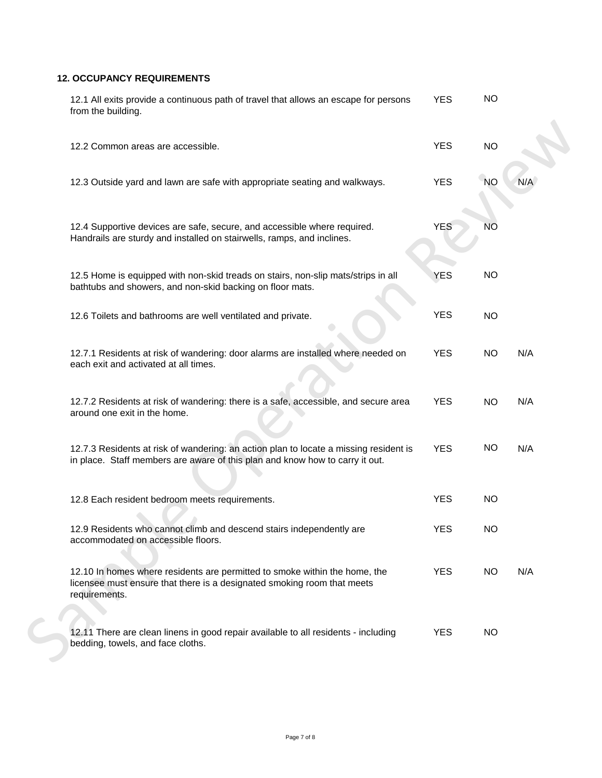# **12. OCCUPANCY REQUIREMENTS**

| 12.1 All exits provide a continuous path of travel that allows an escape for persons<br>from the building.                                                             | <b>YES</b> | <b>NO</b> |     |
|------------------------------------------------------------------------------------------------------------------------------------------------------------------------|------------|-----------|-----|
| 12.2 Common areas are accessible.                                                                                                                                      | <b>YES</b> | <b>NO</b> |     |
| 12.3 Outside yard and lawn are safe with appropriate seating and walkways.                                                                                             | <b>YES</b> | <b>NO</b> | N/A |
| 12.4 Supportive devices are safe, secure, and accessible where required.<br>Handrails are sturdy and installed on stairwells, ramps, and inclines.                     | <b>YES</b> | <b>NO</b> |     |
| 12.5 Home is equipped with non-skid treads on stairs, non-slip mats/strips in all<br>bathtubs and showers, and non-skid backing on floor mats.                         | <b>YES</b> | <b>NO</b> |     |
| 12.6 Toilets and bathrooms are well ventilated and private.                                                                                                            | <b>YES</b> | <b>NO</b> |     |
| 12.7.1 Residents at risk of wandering: door alarms are installed where needed on<br>each exit and activated at all times.                                              | <b>YES</b> | <b>NO</b> | N/A |
| 12.7.2 Residents at risk of wandering: there is a safe, accessible, and secure area<br>around one exit in the home.                                                    | <b>YES</b> | <b>NO</b> | N/A |
| 12.7.3 Residents at risk of wandering: an action plan to locate a missing resident is<br>in place. Staff members are aware of this plan and know how to carry it out.  | <b>YES</b> | NO        | N/A |
| 12.8 Each resident bedroom meets requirements.                                                                                                                         | <b>YES</b> | NO        |     |
| 12.9 Residents who cannot climb and descend stairs independently are<br>accommodated on accessible floors.                                                             | <b>YES</b> | <b>NO</b> |     |
| 12.10 In homes where residents are permitted to smoke within the home, the<br>licensee must ensure that there is a designated smoking room that meets<br>requirements. | <b>YES</b> | NO        | N/A |
| 12.11 There are clean linens in good repair available to all residents - including<br>bedding, towels, and face cloths.                                                | <b>YES</b> | NO        |     |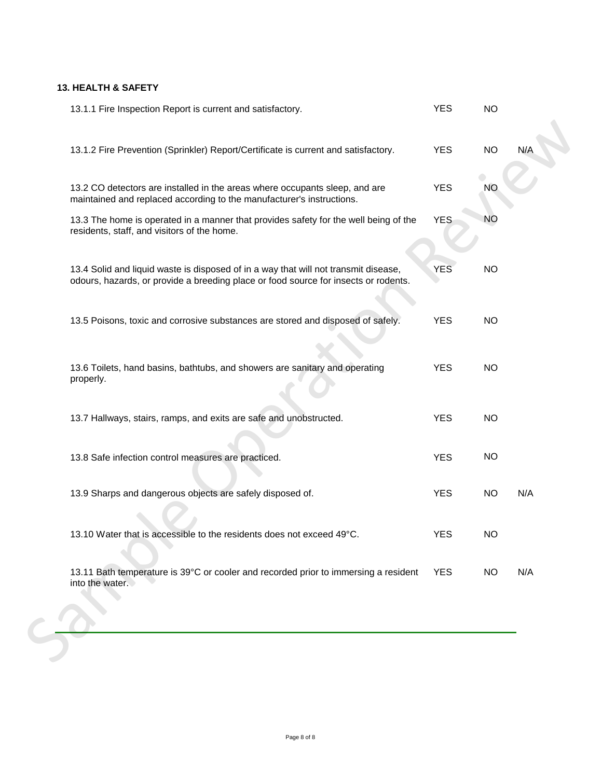# **13. HEALTH & SAFETY**

| 13.1.1 Fire Inspection Report is current and satisfactory.                                                                                                                 | <b>YES</b> | <b>NO</b> |     |
|----------------------------------------------------------------------------------------------------------------------------------------------------------------------------|------------|-----------|-----|
| 13.1.2 Fire Prevention (Sprinkler) Report/Certificate is current and satisfactory.                                                                                         | <b>YES</b> | <b>NO</b> | N/A |
| 13.2 CO detectors are installed in the areas where occupants sleep, and are<br>maintained and replaced according to the manufacturer's instructions.                       | <b>YES</b> | <b>NO</b> |     |
| 13.3 The home is operated in a manner that provides safety for the well being of the<br>residents, staff, and visitors of the home.                                        | <b>YES</b> | NO        |     |
| 13.4 Solid and liquid waste is disposed of in a way that will not transmit disease,<br>odours, hazards, or provide a breeding place or food source for insects or rodents. | <b>YES</b> | <b>NO</b> |     |
| 13.5 Poisons, toxic and corrosive substances are stored and disposed of safely.                                                                                            | <b>YES</b> | NO        |     |
| 13.6 Toilets, hand basins, bathtubs, and showers are sanitary and operating<br>properly.                                                                                   | <b>YES</b> | NO        |     |
| 13.7 Hallways, stairs, ramps, and exits are safe and unobstructed.                                                                                                         | <b>YES</b> | <b>NO</b> |     |
| 13.8 Safe infection control measures are practiced.                                                                                                                        | <b>YES</b> | <b>NO</b> |     |
| 13.9 Sharps and dangerous objects are safely disposed of.                                                                                                                  | <b>YES</b> | <b>NO</b> | N/A |
| 13.10 Water that is accessible to the residents does not exceed 49°C.                                                                                                      | <b>YES</b> | <b>NO</b> |     |
| 13.11 Bath temperature is 39°C or cooler and recorded prior to immersing a resident<br>into the water.                                                                     | <b>YES</b> | NO        | N/A |
|                                                                                                                                                                            |            |           |     |